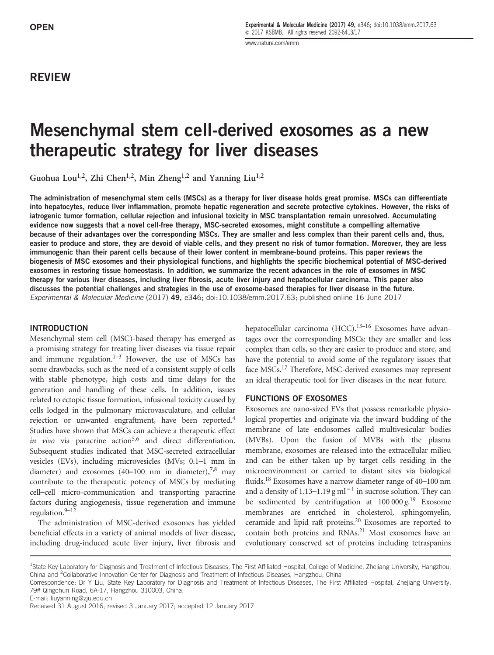# REVIEW

[www.nature.com/emm](http://www.nature.com/emm)

# Mesenchymal stem cell-derived exosomes as a new therapeutic strategy for liver diseases

Guohua Lou<sup>1,2</sup>, Zhi Chen<sup>1,2</sup>, Min Zheng<sup>1,2</sup> and Yanning Liu<sup>1,2</sup>

The administration of mesenchymal stem cells (MSCs) as a therapy for liver disease holds great promise. MSCs can differentiate into hepatocytes, reduce liver inflammation, promote hepatic regeneration and secrete protective cytokines. However, the risks of iatrogenic tumor formation, cellular rejection and infusional toxicity in MSC transplantation remain unresolved. Accumulating evidence now suggests that a novel cell-free therapy, MSC-secreted exosomes, might constitute a compelling alternative because of their advantages over the corresponding MSCs. They are smaller and less complex than their parent cells and, thus, easier to produce and store, they are devoid of viable cells, and they present no risk of tumor formation. Moreover, they are less immunogenic than their parent cells because of their lower content in membrane-bound proteins. This paper reviews the biogenesis of MSC exosomes and their physiological functions, and highlights the specific biochemical potential of MSC-derived exosomes in restoring tissue homeostasis. In addition, we summarize the recent advances in the role of exosomes in MSC therapy for various liver diseases, including liver fibrosis, acute liver injury and hepatocellular carcinoma. This paper also discusses the potential challenges and strategies in the use of exosome-based therapies for liver disease in the future. Experimental & Molecular Medicine (2017) 49, e346; doi[:10.1038/emm.2017.63](http://dx.doi.org/10.1038/emm.2017.63); published online 16 June 2017

### INTRODUCTION

Mesenchymal stem cell (MSC)-based therapy has emerged as a promising strategy for treating liver diseases via tissue repair and immune regulation. $1-3$  However, the use of MSCs has some drawbacks, such as the need of a consistent supply of cells with stable phenotype, high costs and time delays for the generation and handling of these cells. In addition, issues related to ectopic tissue formation, infusional toxicity caused by cells lodged in the pulmonary microvasculature, and cellular rejection or unwanted engraftment, have been reported[.4](#page-6-0) Studies have shown that MSCs can achieve a therapeutic effect in vivo via paracrine action<sup>5,6</sup> and direct differentiation. Subsequent studies indicated that MSC-secreted extracellular vesicles (EVs), including microvesicles (MVs; 0.1–1 mm in diameter) and exosomes  $(40-100 \text{ nm in diameter})$ ,<sup>7,8</sup> may contribute to the therapeutic potency of MSCs by mediating cell–cell micro-communication and transporting paracrine factors during angiogenesis, tissue regeneration and immune regulation. $9-12$  $9-12$ 

The administration of MSC-derived exosomes has yielded beneficial effects in a variety of animal models of liver disease, including drug-induced acute liver injury, liver fibrosis and hepatocellular carcinoma (HCC).<sup>13–[16](#page-6-0)</sup> Exosomes have advantages over the corresponding MSCs: they are smaller and less complex than cells, so they are easier to produce and store, and have the potential to avoid some of the regulatory issues that face MSCs[.17](#page-6-0) Therefore, MSC-derived exosomes may represent an ideal therapeutic tool for liver diseases in the near future.

# FUNCTIONS OF EXOSOMES

Exosomes are nano-sized EVs that possess remarkable physiological properties and originate via the inward budding of the membrane of late endosomes called multivesicular bodies (MVBs). Upon the fusion of MVBs with the plasma membrane, exosomes are released into the extracellular milieu and can be either taken up by target cells residing in the microenvironment or carried to distant sites via biological fluids.[18](#page-6-0) Exosomes have a narrow diameter range of 40–100 nm and a density of 1.13–1.19 g ml<sup>-1</sup> in sucrose solution. They can be sedimented by centrifugation at  $100\,000\,g^{19}$  $100\,000\,g^{19}$  $100\,000\,g^{19}$  Exosome<br>membranes are enriched in cholesterol, sphinoppyelin membranes are enriched in cholesterol, sphingomyelin, ceramide and lipid raft proteins[.20](#page-6-0) Exosomes are reported to contain both proteins and RNAs.<sup>21</sup> Most exosomes have an evolutionary conserved set of proteins including tetraspanins

E-mail: [liuyanning@zju.edu.cn](mailto:liuyanning@zju.edu.cn)

<sup>&</sup>lt;sup>1</sup>State Key Laboratory for Diagnosis and Treatment of Infectious Diseases, The First Affiliated Hospital, College of Medicine, Zhejiang University, Hangzhou, China and <sup>2</sup>Collaborative Innovation Center for Diagnosis and Treatment of Infectious Diseases, Hangzhou, China

Correspondence: Dr Y Liu, State Key Laboratory for Diagnosis and Treatment of Infectious Diseases, The First Affiliated Hospital, Zhejiang University, 79# Qingchun Road, 6A-17, Hangzhou 310003, China.

Received 31 August 2016; revised 3 January 2017; accepted 12 January 2017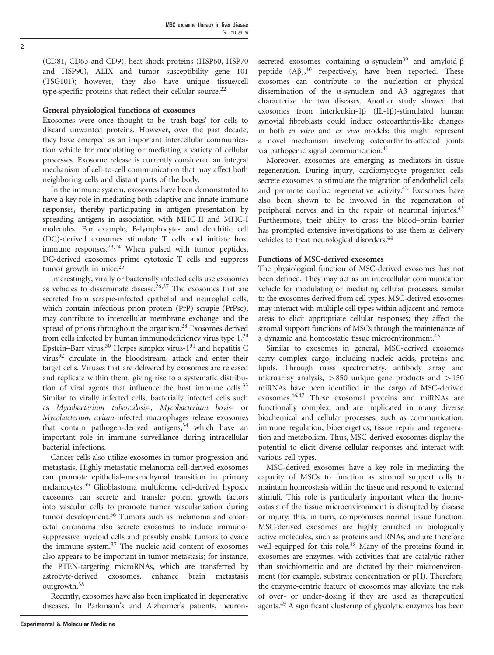(CD81, CD63 and CD9), heat-shock proteins (HSP60, HSP70 and HSP90), ALIX and tumor susceptibility gene 101 (TSG101); however, they also have unique tissue/cell type-specific proteins that reflect their cellular source.<sup>[22](#page-6-0)</sup>

### General physiological functions of exosomes

Exosomes were once thought to be 'trash bags' for cells to discard unwanted proteins. However, over the past decade, they have emerged as an important intercellular communication vehicle for modulating or mediating a variety of cellular processes. Exosome release is currently considered an integral mechanism of cell-to-cell communication that may affect both neighboring cells and distant parts of the body.

In the immune system, exosomes have been demonstrated to have a key role in mediating both adaptive and innate immune responses, thereby participating in antigen presentation by spreading antigens in association with MHC-II and MHC-I molecules. For example, B-lymphocyte- and dendritic cell (DC)-derived exosomes stimulate T cells and initiate host immune responses.<sup>[23,24](#page-6-0)</sup> When pulsed with tumor peptides, DC-derived exosomes prime cytotoxic T cells and suppress tumor growth in mice.<sup>25</sup>

Interestingly, virally or bacterially infected cells use exosomes as vehicles to disseminate disease.<sup>[26,27](#page-6-0)</sup> The exosomes that are secreted from scrapie-infected epithelial and neuroglial cells, which contain infectious prion protein (PrP) scrapie (PrPsc), may contribute to intercellular membrane exchange and the spread of prions throughout the organism.<sup>28</sup> Exosomes derived from cells infected by human immunodeficiency virus type  $1,^{29}$ Epstein–Barr virus,  $30$  Herpes simplex virus- $1^{31}$  $1^{31}$  $1^{31}$  and hepatitis C virus $32$  circulate in the bloodstream, attack and enter their target cells. Viruses that are delivered by exosomes are released and replicate within them, giving rise to a systematic distribution of viral agents that influence the host immune cells.<sup>33</sup> Similar to virally infected cells, bacterially infected cells such as Mycobacterium tuberculosis-, Mycobacterium bovis- or Mycobacterium avium-infected macrophages release exosomes that contain pathogen-derived antigens, $34$  which have an important role in immune surveillance during intracellular bacterial infections.

Cancer cells also utilize exosomes in tumor progression and metastasis. Highly metastatic melanoma cell-derived exosomes can promote epithelial–mesenchymal transition in primary melanocytes[.35](#page-6-0) Glioblastoma multiforme cell-derived hypoxic exosomes can secrete and transfer potent growth factors into vascular cells to promote tumor vascularization during tumor development.<sup>[36](#page-6-0)</sup> Tumors such as melanoma and colorectal carcinoma also secrete exosomes to induce immunosuppressive myeloid cells and possibly enable tumors to evade the immune system.<sup>[37](#page-6-0)</sup> The nucleic acid content of exosomes also appears to be important in tumor metastasis; for instance, the PTEN-targeting microRNAs, which are transferred by astrocyte-derived exosomes, enhance brain metastasis outgrowth[.38](#page-6-0)

Recently, exosomes have also been implicated in degenerative diseases. In Parkinson's and Alzheimer's patients, neuronsecreted exosomes containing α-synuclein<sup>39</sup> and amyloid-β peptide  $(AB)$ ,<sup>[40](#page-6-0)</sup> respectively, have been reported. These exosomes can contribute to the nucleation or physical dissemination of the α-synuclein and Aβ aggregates that characterize the two diseases. Another study showed that exosomes from interleukin-1β (IL-1β)-stimulated human synovial fibroblasts could induce osteoarthritis-like changes in both in vitro and ex vivo models: this might represent a novel mechanism involving osteoarthritis-affected joints via pathogenic signal communication.[41](#page-6-0)

Moreover, exosomes are emerging as mediators in tissue regeneration. During injury, cardiomyocyte progenitor cells secrete exosomes to stimulate the migration of endothelial cells and promote cardiac regenerative activity.<sup>42</sup> Exosomes have also been shown to be involved in the regeneration of peripheral nerves and in the repair of neuronal injuries.<sup>43</sup> Furthermore, their ability to cross the blood–brain barrier has prompted extensive investigations to use them as delivery vehicles to treat neurological disorders.<sup>44</sup>

#### Functions of MSC-derived exosomes

The physiological function of MSC-derived exosomes has not been defined. They may act as an intercellular communication vehicle for modulating or mediating cellular processes, similar to the exosomes derived from cell types. MSC-derived exosomes may interact with multiple cell types within adjacent and remote areas to elicit appropriate cellular responses; they affect the stromal support functions of MSCs through the maintenance of a dynamic and homeostatic tissue microenvironment.<sup>[45](#page-6-0)</sup>

Similar to exosomes in general, MSC-derived exosomes carry complex cargo, including nucleic acids, proteins and lipids. Through mass spectrometry, antibody array and microarray analysis,  $> 850$  unique gene products and  $> 150$ miRNAs have been identified in the cargo of MSC-derived exosomes[.46,47](#page-6-0) These exosomal proteins and miRNAs are functionally complex, and are implicated in many diverse biochemical and cellular processes, such as communication, immune regulation, bioenergetics, tissue repair and regeneration and metabolism. Thus, MSC-derived exosomes display the potential to elicit diverse cellular responses and interact with various cell types.

MSC-derived exosomes have a key role in mediating the capacity of MSCs to function as stromal support cells to maintain homeostasis within the tissue and respond to external stimuli. This role is particularly important when the homeostasis of the tissue microenvironment is disrupted by disease or injury; this, in turn, compromises normal tissue function. MSC-derived exosomes are highly enriched in biologically active molecules, such as proteins and RNAs, and are therefore well equipped for this role.<sup>48</sup> Many of the proteins found in exosomes are enzymes, with activities that are catalytic rather than stoichiometric and are dictated by their microenvironment (for example, substrate concentration or pH). Therefore, the enzyme-centric feature of exosomes may alleviate the risk of over- or under-dosing if they are used as therapeutical agents[.49](#page-6-0) A significant clustering of glycolytic enzymes has been

 $\overline{2}$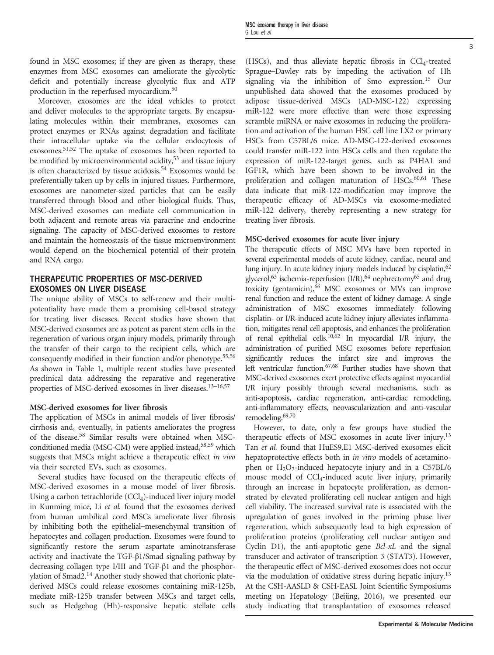found in MSC exosomes; if they are given as therapy, these enzymes from MSC exosomes can ameliorate the glycolytic deficit and potentially increase glycolytic flux and ATP production in the reperfused myocardium.[50](#page-7-0)

Moreover, exosomes are the ideal vehicles to protect and deliver molecules to the appropriate targets. By encapsulating molecules within their membranes, exosomes can protect enzymes or RNAs against degradation and facilitate their intracellular uptake via the cellular endocytosis of exosomes.[51,52](#page-7-0) The uptake of exosomes has been reported to be modified by microenvironmental acidity,<sup>53</sup> and tissue injury is often characterized by tissue acidosis.<sup>[54](#page-7-0)</sup> Exosomes would be preferentially taken up by cells in injured tissues. Furthermore, exosomes are nanometer-sized particles that can be easily transferred through blood and other biological fluids. Thus, MSC-derived exosomes can mediate cell communication in both adjacent and remote areas via paracrine and endocrine signaling. The capacity of MSC-derived exosomes to restore and maintain the homeostasis of the tissue microenvironment would depend on the biochemical potential of their protein and RNA cargo.

# THERAPEUTIC PROPERTIES OF MSC-DERIVED EXOSOMES ON LIVER DISEASE

The unique ability of MSCs to self-renew and their multipotentiality have made them a promising cell-based strategy for treating liver diseases. Recent studies have shown that MSC-derived exosomes are as potent as parent stem cells in the regeneration of various organ injury models, primarily through the transfer of their cargo to the recipient cells, which are consequently modified in their function and/or phenotype.<sup>55,[56](#page-7-0)</sup> As shown in [Table 1](#page-3-0), multiple recent studies have presented preclinical data addressing the reparative and regenerative properties of MSC-derived exosomes in liver diseases.[13](#page-6-0)–16[,57](#page-7-0)

# MSC-derived exosomes for liver fibrosis

The application of MSCs in animal models of liver fibrosis/ cirrhosis and, eventually, in patients ameliorates the progress of the disease[.58](#page-7-0) Similar results were obtained when MSC-conditioned media (MSC-CM) were applied instead,<sup>[58,59](#page-7-0)</sup> which suggests that MSCs might achieve a therapeutic effect in vivo via their secreted EVs, such as exosomes.

Several studies have focused on the therapeutic effects of MSC-derived exosomes in a mouse model of liver fibrosis. Using a carbon tetrachloride  $(CCl<sub>4</sub>)$ -induced liver injury model in Kunming mice, Li et al. found that the exosomes derived from human umbilical cord MSCs ameliorate liver fibrosis by inhibiting both the epithelial–mesenchymal transition of hepatocytes and collagen production. Exosomes were found to significantly restore the serum aspartate aminotransferase activity and inactivate the TGF-β1/Smad signaling pathway by decreasing collagen type I/III and TGF-β1 and the phosphorylation of Smad2[.14](#page-6-0) Another study showed that chorionic platederived MSCs could release exosomes containing miR-125b, mediate miR-125b transfer between MSCs and target cells, such as Hedgehog (Hh)-responsive hepatic stellate cells  $(HSCs)$ , and thus alleviate hepatic fibrosis in  $CCL$ -treated Sprague–Dawley rats by impeding the activation of Hh signaling via the inhibition of Smo expression.<sup>15</sup> Our unpublished data showed that the exosomes produced by adipose tissue-derived MSCs (AD-MSC-122) expressing miR-122 were more effective than were those expressing scramble miRNA or naive exosomes in reducing the proliferation and activation of the human HSC cell line LX2 or primary HSCs from C57BL/6 mice. AD-MSC-122-derived exosomes could transfer miR-122 into HSCs cells and then regulate the expression of miR-122-target genes, such as P4HA1 and IGF1R, which have been shown to be involved in the proliferation and collagen maturation of HSCs.<sup>60,61</sup> These data indicate that miR-122-modification may improve the therapeutic efficacy of AD-MSCs via exosome-mediated miR-122 delivery, thereby representing a new strategy for treating liver fibrosis.

# MSC-derived exosomes for acute liver injury

The therapeutic effects of MSC MVs have been reported in several experimental models of acute kidney, cardiac, neural and lung injury. In acute kidney injury models induced by cisplatin, <sup>62</sup> glycerol,<sup>63</sup> ischemia-reperfusion  $(I/R)$ ,<sup>[64](#page-7-0)</sup> nephrectomy<sup>65</sup> and drug toxicity (gentamicin), 66 MSC exosomes or MVs can improve renal function and reduce the extent of kidney damage. A single administration of MSC exosomes immediately following cisplatin- or I/R-induced acute kidney injury alleviates inflammation, mitigates renal cell apoptosis, and enhances the proliferation of renal epithelial cells.<sup>10[,62](#page-7-0)</sup> In myocardial I/R injury, the administration of purified MSC exosomes before reperfusion significantly reduces the infarct size and improves the left ventricular function.<sup>67,68</sup> Further studies have shown that MSC-derived exosomes exert protective effects against myocardial I/R injury possibly through several mechanisms, such as anti-apoptosis, cardiac regeneration, anti-cardiac remodeling, anti-inflammatory effects, neovascularization and anti-vascular remodeling[.69,70](#page-7-0)

However, to date, only a few groups have studied the therapeutic effects of MSC exosomes in acute liver injury[.13](#page-6-0) Tan et al. found that HuES9.E1 MSC-derived exosomes elicit hepatoprotective effects both in in vitro models of acetaminophen or  $H_2O_2$ -induced hepatocyte injury and in a C57BL/6 mouse model of CCl<sub>4</sub>-induced acute liver injury, primarily through an increase in hepatocyte proliferation, as demonstrated by elevated proliferating cell nuclear antigen and high cell viability. The increased survival rate is associated with the upregulation of genes involved in the priming phase liver regeneration, which subsequently lead to high expression of proliferation proteins (proliferating cell nuclear antigen and Cyclin D1), the anti-apoptotic gene Bcl-xL and the signal transducer and activator of transcription 3 (STAT3). However, the therapeutic effect of MSC-derived exosomes does not occur via the modulation of oxidative stress during hepatic injury.<sup>13</sup> At the CSH-AASLD & CSH-EASL Joint Scientific Symposiums meeting on Hepatology (Beijing, 2016), we presented our study indicating that transplantation of exosomes released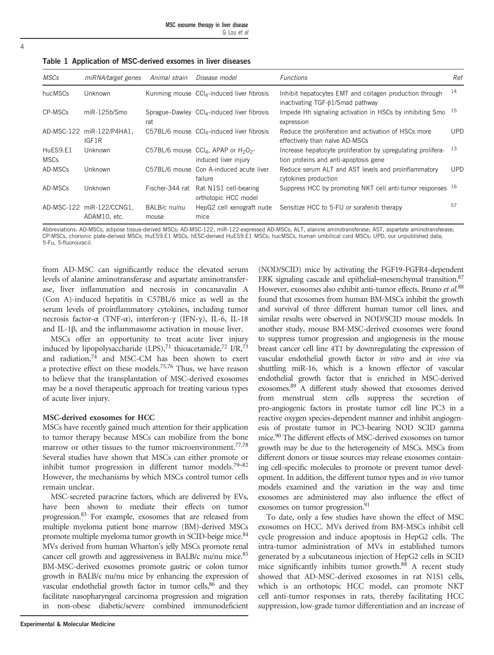<span id="page-3-0"></span>

| Table 1 Application of MSC-derived exsomes in liver diseases |
|--------------------------------------------------------------|
|--------------------------------------------------------------|

| MSCs                    | miRNA/target genes                        | Animal strain         | Disease model                                                                                    | <b>Functions</b>                                                                                      | Ref        |
|-------------------------|-------------------------------------------|-----------------------|--------------------------------------------------------------------------------------------------|-------------------------------------------------------------------------------------------------------|------------|
| hucMSCs                 | Unknown                                   |                       | Kunming mouse $CCl4$ -induced liver fibrosis                                                     | Inhibit hepatocytes EMT and collagen production through<br>inactivating $TGF-\beta1/Smad pathway$     | 14         |
| CP-MSCs                 | $miR-125b/Smo$                            | rat                   | $Sprague-Dawley$ $CClA$ -induced liver fibrosis                                                  | Impede Hh signaling activation in HSCs by inhibiting Smo<br>expression                                | -15        |
|                         | AD-MSC-122 miR-122/P4HA1.<br>IGF1R        |                       | $C57BL/6$ mouse $CCl4$ -induced liver fibrosis                                                   | Reduce the proliferation and activation of HSCs more<br>effectively than naïve AD-MSCs                | <b>UPD</b> |
| HuES9.E1<br><b>MSCs</b> | Unknown                                   |                       | C57BL/6 mouse CCl <sub>4</sub> , APAP or H <sub>2</sub> O <sub>2</sub> -<br>induced liver injury | Increase hepatocyte proliferation by upregulating prolifera-<br>tion proteins and anti-apoptosis gene | 13         |
| AD-MSCs                 | Unknown                                   |                       | C57BL/6 mouse Con A-induced acute liver<br>failure                                               | Reduce serum ALT and AST levels and proinflammatory<br>cytokines production                           | <b>UPD</b> |
| AD-MSCs                 | Unknown                                   |                       | Fischer-344 rat Rat N1S1 cell-bearing<br>orthotopic HCC model                                    | Suppress HCC by promoting NKT cell anti-tumor responses 16                                            |            |
|                         | AD-MSC-122 miR-122/CCNG1.<br>ADAM10, etc. | BALB/c nu/nu<br>mouse | HepG2 cell xenograft nude<br>mice                                                                | Sensitize HCC to 5-FU or sorafenib therapy                                                            | 57         |

Abbreviations: AD-MSCs, adipose tissue-derived MSCs; AD-MSC-122, miR-122-expressed AD-MSCs; ALT, alanine aminotransferase; AST, aspartate aminotransferase; CP-MSCs, chorionic plate-derived MSCs; HuES9.E1 MSCs, hESC-derived HuES9.E1 MSCs; hucMSCs, human umbilical cord MSCs; UPD, our unpublished data; 5-Fu, 5-fluorouracil.

from AD-MSC can significantly reduce the elevated serum levels of alanine aminotransferase and aspartate aminotransferase, liver inflammation and necrosis in concanavalin A (Con A)-induced hepatitis in C57BL/6 mice as well as the serum levels of proinflammatory cytokines, including tumor necrosis factor-α (TNF-α), interferon-γ (IFN-γ), IL-6, IL-18 and IL-1β, and the inflammasome activation in mouse liver.

MSCs offer an opportunity to treat acute liver injury induced by lipopolysaccharide  $(LPS)$ ,<sup>71</sup> thioacetamide,<sup>72</sup> I/R,<sup>73</sup> and radiation, $74$  and MSC-CM has been shown to exert a protective effect on these models.<sup>75,[76](#page-7-0)</sup> Thus, we have reason to believe that the transplantation of MSC-derived exosomes may be a novel therapeutic approach for treating various types of acute liver injury.

#### MSC-derived exosomes for HCC

MSCs have recently gained much attention for their application to tumor therapy because MSCs can mobilize from the bone marrow or other tissues to the tumor microenvironment.<sup>[77,78](#page-7-0)</sup> Several studies have shown that MSCs can either promote or inhibit tumor progression in different tumor models.[79](#page-7-0)–<sup>82</sup> However, the mechanisms by which MSCs control tumor cells remain unclear.

MSC-secreted paracrine factors, which are delivered by EVs, have been shown to mediate their effects on tumor progression.[83](#page-7-0) For example, exosomes that are released from multiple myeloma patient bone marrow (BM)-derived MSCs promote multiple myeloma tumor growth in SCID-beige mice.<sup>[84](#page-7-0)</sup> MVs derived from human Wharton's jelly MSCs promote renal cancer cell growth and aggressiveness in BALB/c nu/nu mice.<sup>[85](#page-7-0)</sup> BM-MSC-derived exosomes promote gastric or colon tumor growth in BALB/c nu/nu mice by enhancing the expression of vascular endothelial growth factor in tumor cells, $86$  and they facilitate nasopharyngeal carcinoma progression and migration in non-obese diabetic/severe combined immunodeficient

(NOD/SCID) mice by activating the FGF19-FGFR4-dependent ERK signaling cascade and epithelial–mesenchymal transition.<sup>[87](#page-7-0)</sup> However, exosomes also exhibit anti-tumor effects. Bruno et al.<sup>[88](#page-7-0)</sup> found that exosomes from human BM-MSCs inhibit the growth and survival of three different human tumor cell lines, and similar results were observed in NOD/SCID mouse models. In another study, mouse BM-MSC-derived exosomes were found to suppress tumor progression and angiogenesis in the mouse breast cancer cell line 4T1 by downregulating the expression of vascular endothelial growth factor in vitro and in vivo via shuttling miR-16, which is a known effector of vascular endothelial growth factor that is enriched in MSC-derived exosomes[.89](#page-7-0) A different study showed that exosomes derived from menstrual stem cells suppress the secretion of pro-angiogenic factors in prostate tumor cell line PC3 in a reactive oxygen species-dependent manner and inhibit angiogenesis of prostate tumor in PC3-bearing NOD SCID gamma mice.[90](#page-7-0) The different effects of MSC-derived exosomes on tumor growth may be due to the heterogeneity of MSCs. MSCs from different donors or tissue sources may release exosomes containing cell-specific molecules to promote or prevent tumor development. In addition, the different tumor types and in vivo tumor models examined and the variation in the way and time exosomes are administered may also influence the effect of exosomes on tumor progression.<sup>91</sup>

To date, only a few studies have shown the effect of MSC exosomes on HCC. MVs derived from BM-MSCs inhibit cell cycle progression and induce apoptosis in HepG2 cells. The intra-tumor administration of MVs in established tumors generated by a subcutaneous injection of HepG2 cells in SCID mice significantly inhibits tumor growth.<sup>88</sup> A recent study showed that AD-MSC-derived exosomes in rat N1S1 cells, which is an orthotopic HCC model, can promote NKT cell anti-tumor responses in rats, thereby facilitating HCC suppression, low-grade tumor differentiation and an increase of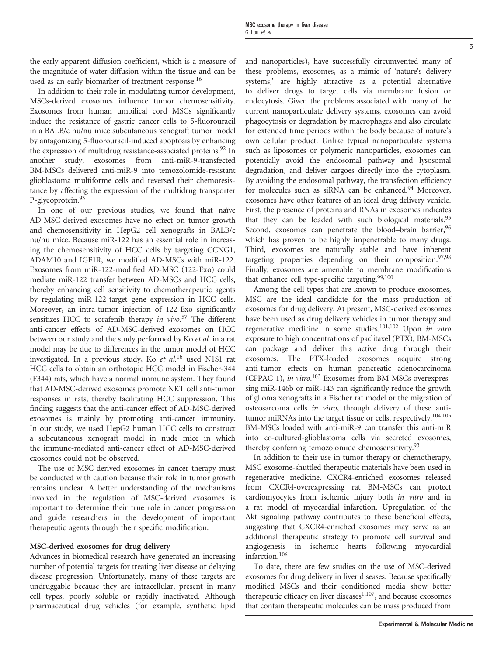the early apparent diffusion coefficient, which is a measure of the magnitude of water diffusion within the tissue and can be used as an early biomarker of treatment response.<sup>16</sup>

In addition to their role in modulating tumor development, MSCs-derived exosomes influence tumor chemosensitivity. Exosomes from human umbilical cord MSCs significantly induce the resistance of gastric cancer cells to 5-fluorouracil in a BALB/c nu/nu mice subcutaneous xenograft tumor model by antagonizing 5-fluorouracil-induced apoptosis by enhancing the expression of multidrug resistance-associated proteins.<sup>92</sup> In another study, exosomes from anti-miR-9-transfected BM-MSCs delivered anti-miR-9 into temozolomide-resistant glioblastoma multiforme cells and reversed their chemoresistance by affecting the expression of the multidrug transporter P-glycoprotein.<sup>[93](#page-7-0)</sup>

In one of our previous studies, we found that naïve AD-MSC-derived exosomes have no effect on tumor growth and chemosensitivity in HepG2 cell xenografts in BALB/c nu/nu mice. Because miR-122 has an essential role in increasing the chemosensitivity of HCC cells by targeting CCNG1, ADAM10 and IGF1R, we modified AD-MSCs with miR-122. Exosomes from miR-122-modified AD-MSC (122-Exo) could mediate miR-122 transfer between AD-MSCs and HCC cells, thereby enhancing cell sensitivity to chemotherapeutic agents by regulating miR-122-target gene expression in HCC cells. Moreover, an intra-tumor injection of 122-Exo significantly sensitizes HCC to sorafenib therapy in vivo.<sup>[57](#page-7-0)</sup> The different<br>anti-cancer effects of AD-MSC-derived exosomes on HCC anti-cancer effects of AD-MSC-derived exosomes on HCC between our study and the study performed by Ko et al. in a rat model may be due to differences in the tumor model of HCC investigated. In a previous study, Ko et al.<sup>[16](#page-6-0)</sup> used N1S1 rat HCC cells to obtain an orthotopic HCC model in Fischer-344 (F344) rats, which have a normal immune system. They found that AD-MSC-derived exosomes promote NKT cell anti-tumor responses in rats, thereby facilitating HCC suppression. This finding suggests that the anti-cancer effect of AD-MSC-derived exosomes is mainly by promoting anti-cancer immunity. In our study, we used HepG2 human HCC cells to construct a subcutaneous xenograft model in nude mice in which the immune-mediated anti-cancer effect of AD-MSC-derived exosomes could not be observed.

The use of MSC-derived exosomes in cancer therapy must be conducted with caution because their role in tumor growth remains unclear. A better understanding of the mechanisms involved in the regulation of MSC-derived exosomes is important to determine their true role in cancer progression and guide researchers in the development of important therapeutic agents through their specific modification.

#### MSC-derived exosomes for drug delivery

Advances in biomedical research have generated an increasing number of potential targets for treating liver disease or delaying disease progression. Unfortunately, many of these targets are undruggable because they are intracellular, present in many cell types, poorly soluble or rapidly inactivated. Although pharmaceutical drug vehicles (for example, synthetic lipid

and nanoparticles), have successfully circumvented many of these problems, exosomes, as a mimic of 'nature's delivery systems,' are highly attractive as a potential alternative to deliver drugs to target cells via membrane fusion or endocytosis. Given the problems associated with many of the current nanoparticulate delivery systems, exosomes can avoid phagocytosis or degradation by macrophages and also circulate for extended time periods within the body because of nature's own cellular product. Unlike typical nanoparticulate systems such as liposomes or polymeric nanoparticles, exosomes can potentially avoid the endosomal pathway and lysosomal degradation, and deliver cargoes directly into the cytoplasm. By avoiding the endosomal pathway, the transfection efficiency for molecules such as siRNA can be enhanced.<sup>[94](#page-8-0)</sup> Moreover, exosomes have other features of an ideal drug delivery vehicle. First, the presence of proteins and RNAs in exosomes indicates that they can be loaded with such biological materials.[95](#page-8-0) Second, exosomes can penetrate the blood–brain barrier, <sup>[96](#page-8-0)</sup> which has proven to be highly impenetrable to many drugs. Third, exosomes are naturally stable and have inherent targeting properties depending on their composition.  $97,98$  $97,98$ Finally, exosomes are amenable to membrane modifications that enhance cell type-specific targeting.<sup>99,100</sup>

Among the cell types that are known to produce exosomes, MSC are the ideal candidate for the mass production of exosomes for drug delivery. At present, MSC-derived exosomes have been used as drug delivery vehicles in tumor therapy and regenerative medicine in some studies.[101](#page-8-0),[102](#page-8-0) Upon in vitro exposure to high concentrations of paclitaxel (PTX), BM-MSCs can package and deliver this active drug through their exosomes. The PTX-loaded exosomes acquire strong anti-tumor effects on human pancreatic adenocarcinoma (CFPAC-1), in vitro.<sup>[103](#page-8-0)</sup> Exosomes from BM-MSCs overexpres-<br>sing miR-146b or miR-143 can significantly reduce the growth sing miR-146b or miR-143 can significantly reduce the growth of glioma xenografts in a Fischer rat model or the migration of osteosarcoma cells in vitro, through delivery of these antitumor miRNAs into the target tissue or cells, respectively.<sup>104,105</sup> BM-MSCs loaded with anti-miR-9 can transfer this anti-miR into co-cultured-glioblastoma cells via secreted exosomes, thereby conferring temozolomide chemosensitivity[.93](#page-7-0)

In addition to their use in tumor therapy or chemotherapy, MSC exosome-shuttled therapeutic materials have been used in regenerative medicine. CXCR4-enriched exosomes released from CXCR4-overexpressing rat BM-MSCs can protect cardiomyocytes from ischemic injury both in vitro and in a rat model of myocardial infarction. Upregulation of the Akt signaling pathway contributes to these beneficial effects, suggesting that CXCR4-enriched exosomes may serve as an additional therapeutic strategy to promote cell survival and angiogenesis in ischemic hearts following myocardial infarction[.106](#page-8-0)

To date, there are few studies on the use of MSC-derived exosomes for drug delivery in liver diseases. Because specifically modified MSCs and their conditioned media show better therapeutic efficacy on liver diseases $1,107$ , and because exosomes that contain therapeutic molecules can be mass produced from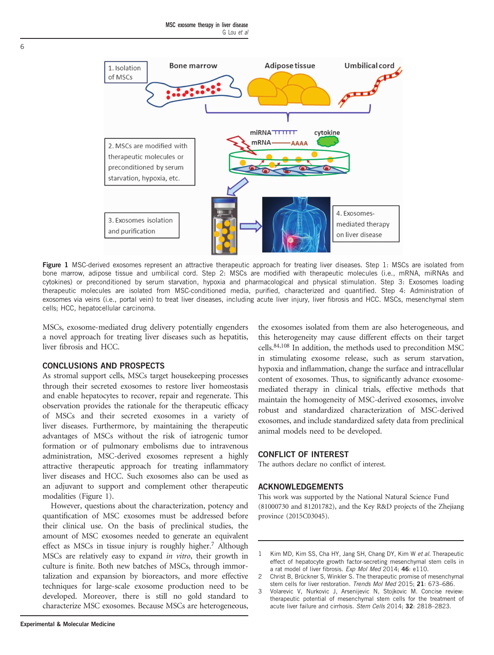<span id="page-5-0"></span>

Figure 1 MSC-derived exosomes represent an attractive therapeutic approach for treating liver diseases. Step 1: MSCs are isolated from bone marrow, adipose tissue and umbilical cord. Step 2: MSCs are modified with therapeutic molecules (i.e., mRNA, miRNAs and cytokines) or preconditioned by serum starvation, hypoxia and pharmacological and physical stimulation. Step 3: Exosomes loading therapeutic molecules are isolated from MSC-conditioned media, purified, characterized and quantified. Step 4: Administration of exosomes via veins (i.e., portal vein) to treat liver diseases, including acute liver injury, liver fibrosis and HCC. MSCs, mesenchymal stem cells; HCC, hepatocellular carcinoma.

MSCs, exosome-mediated drug delivery potentially engenders a novel approach for treating liver diseases such as hepatitis, liver fibrosis and HCC.

# CONCLUSIONS AND PROSPECTS

As stromal support cells, MSCs target housekeeping processes through their secreted exosomes to restore liver homeostasis and enable hepatocytes to recover, repair and regenerate. This observation provides the rationale for the therapeutic efficacy of MSCs and their secreted exosomes in a variety of liver diseases. Furthermore, by maintaining the therapeutic advantages of MSCs without the risk of iatrogenic tumor formation or of pulmonary embolisms due to intravenous administration, MSC-derived exosomes represent a highly attractive therapeutic approach for treating inflammatory liver diseases and HCC. Such exosomes also can be used as an adjuvant to support and complement other therapeutic modalities (Figure 1).

However, questions about the characterization, potency and quantification of MSC exosomes must be addressed before their clinical use. On the basis of preclinical studies, the amount of MSC exosomes needed to generate an equivalent effect as MSCs in tissue injury is roughly higher.<sup>[7](#page-6-0)</sup> Although MSCs are relatively easy to expand in vitro, their growth in culture is finite. Both new batches of MSCs, through immortalization and expansion by bioreactors, and more effective techniques for large-scale exosome production need to be developed. Moreover, there is still no gold standard to characterize MSC exosomes. Because MSCs are heterogeneous,

the exosomes isolated from them are also heterogeneous, and this heterogeneity may cause different effects on their target cells.<sup>84,[108](#page-8-0)</sup> In addition, the methods used to precondition MSC in stimulating exosome release, such as serum starvation, hypoxia and inflammation, change the surface and intracellular content of exosomes. Thus, to significantly advance exosomemediated therapy in clinical trials, effective methods that maintain the homogeneity of MSC-derived exosomes, involve robust and standardized characterization of MSC-derived exosomes, and include standardized safety data from preclinical animal models need to be developed.

# CONFLICT OF INTEREST

The authors declare no conflict of interest.

# ACKNOWLEDGEMENTS

This work was supported by the National Natural Science Fund (81000730 and 81201782), and the Key R&D projects of the Zhejiang province (2015C03045).

- 1 Kim MD, Kim SS, Cha HY, Jang SH, Chang DY, Kim W et al. Therapeutic effect of hepatocyte growth factor-secreting mesenchymal stem cells in a rat model of liver fibrosis. Exp Mol Med 2014; 46: e110.
- 2 Christ B, Brückner S, Winkler S. The therapeutic promise of mesenchymal stem cells for liver restoration. Trends Mol Med 2015; 21: 673–686.
- 3 Volarevic V, Nurkovic J, Arsenijevic N, Stojkovic M. Concise review: therapeutic potential of mesenchymal stem cells for the treatment of acute liver failure and cirrhosis. Stem Cells 2014; 32: 2818–2823.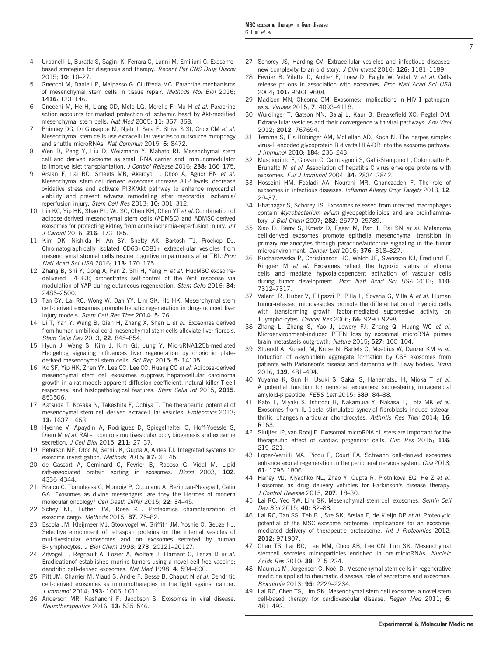- <span id="page-6-0"></span>5 Gnecchi M, Danieli P, Malpasso G, Ciuffreda MC. Paracrine mechanisms of mesenchymal stem cells in tissue repair. Methods Mol Biol 2016; 1416: 123–146.
- 6 Gnecchi M, He H, Liang OD, Melo LG, Morello F, Mu H et al. Paracrine action accounts for marked protection of ischemic heart by Akt-modified mesenchymal stem cells. Nat Med 2005; 11: 367–368.
- Phinney DG, Di Giuseppe M, Niah J, Sala E, Shiva S St, Croix CM et al. Mesenchymal stem cells use extracellular vesicles to outsource mitophagy and shuttle microRNAs. Nat Commun 2015; 6: 8472.
- 8 Wen D, Peng Y, Liu D, Weizmann Y, Mahato RI. Mesenchymal stem cell and derived exosome as small RNA carrier and Immunomodulator to improve islet transplantation. J Control Release 2016; 238: 166-175.
- 9 Arslan F, Lai RC, Smeets MB, Akeroyd L, Choo A, Aguor EN et al. Mesenchymal stem cell-derived exosomes increase ATP levels, decrease oxidative stress and activate PI3K/Akt pathway to enhance myocardial viability and prevent adverse remodeling after myocardial ischemia/ reperfusion injury. Stem Cell Res 2013; 10: 301–312.
- 10 Lin KC, Yip HK, Shao PL, Wu SC, Chen KH, Chen YT et al. Combination of adipose-derived mesenchymal stem cells (ADMSC) and ADMSC-derived exosomes for protecting kidney from acute ischemia-reperfusion injury. Int J Cardiol 2016; 216: 173–185.
- 11 Kim DK, Nishida H, An SY, Shetty AK, Bartosh TJ, Prockop DJ. Chromatographically isolated CD63+CD81+ extracellular vesicles from mesenchymal stromal cells rescue cognitive impairments after TBI. Proc Natl Acad Sci USA 2016; 113: 170-175.
- 12 Zhang B, Shi Y, Gong A, Pan Z, Shi H, Yang H et al. HucMSC exosomedelivered 14-3-3ζ orchestrates self-control of the Wnt response via modulation of YAP during cutaneous regeneration. Stem Cells 2016; 34: 2485–2500.
- 13 Tan CY, Lai RC, Wong W, Dan YY, Lim SK, Ho HK. Mesenchymal stem cell-derived exosomes promote hepatic regeneration in drug-induced liver injury models. Stem Cell Res Ther 2014; 5: 76.
- 14 Li T, Yan Y, Wang B, Qian H, Zhang X, Shen L et al. Exosomes derived from human umbilical cord mesenchymal stem cells alleviate liver fibrosis. Stem Cells Dev 2013; 22: 845–854.
- 15 Hyun J, Wang S, Kim J, Kim GJ, Jung Y. MicroRNA125b-mediated Hedgehog signaling influences liver regeneration by chorionic platederived mesenchymal stem cells. Sci Rep 2015; 5: 14135.
- 16 Ko SF, Yip HK, Zhen YY, Lee CC, Lee CC, Huang CC et al. Adipose-derived mesenchymal stem cell exosomes suppress hepatocellular carcinoma growth in a rat model: apparent diffusion coefficient, natural killer T-cell responses, and histopathological features. Stem Cells Int 2015; 2015: 853506.
- 17 Katsuda T, Kosaka N, Takeshita F, Ochiya T. The therapeutic potential of mesenchymal stem cell-derived extracellular vesicles. Proteomics 2013; 13: 1637–1653.
- 18 Hyenne V, Apaydin A, Rodriguez D, Spiegelhalter C, Hoff-Yoessle S, Diem M et al. RAL-1 controls multivesicular body biogenesis and exosome secretion. J Cell Biol 2015; 211: 27-37.
- 19 Peterson MF, Otoc N, Sethi JK, Gupta A, Antes TJ. Integrated systems for exosome investigation. Methods 2015; 87: 31–45.
- 20 de Gassart A, Geminard C, Fevrier B, Raposo G, Vidal M. Lipid raft-associated protein sorting in exosomes. Blood 2003; 102: 4336–4344.
- 21 Braicu C, Tomuleasa C, Monroig P, Cucuianu A, Berindan-Neagoe I, Calin GA. Exosomes as divine messengers: are they the Hermes of modern molecular oncology? Cell Death Differ 2015; 22: 34–45.
- 22 Schey KL, Luther JM, Rose KL. Proteomics characterization of exosome cargo. Methods 2015; 87: 75–82.
- 23 Escola JM, Kleijmeer MJ, Stoorvogel W, Griffith JM, Yoshie O, Geuze HJ. Selective enrichment of tetraspan proteins on the internal vesicles of mul-tivesicular endosomes and on exosomes secreted by human B-lymphocytes. J Biol Chem 1998; 273: 20121–20127.
- 24 Zitvogel L, Regnault A, Lozier A, Wolfers J, Flament C, Tenza D et al. Eradicationof established murine tumors using a novel cell-free vaccine: dendritic cell-derived exosomes. Nat Med 1998; 4: 594–600.
- 25 Pitt JM, Charrier M, Viaud S, Andre F, Besse B, Chaput N et al. Dendritic cell-derived exosomes as immunotherapies in the fight against cancer. J Immunol 2014; 193: 1006–1011.
- 26 Anderson MR, Kashanchi F, Jacobson S. Exosomes in viral disease. Neurotherapeutics 2016; 13: 535-546.
- 27 Schorey JS, Harding CV. Extracellular vesicles and infectious diseases: new complexity to an old story. J Clin Invest 2016; 126: 1181-1189.
- 28 Fevrier B, Vilette D, Archer F, Loew D, Faigle W, Vidal M et al. Cells release pri-ons in association with exosomes. Proc Natl Acad Sci USA 2004; 101: 9683–9688.
- 29 Madison MN, Okeoma CM. Exosomes: implications in HIV-1 pathogenesis. Viruses 2015; 7: 4093–4118.
- 30 Wurdinger T, Gatson NN, Balaj L, Kaur B, Breakefield XO, Pegtel DM. Extracellular vesicles and their convergence with viral pathways. Adv Virol 2012; 2012: 767694.
- 31 Temme S, Eis-Hübinger AM, McLellan AD, Koch N. The herpes simplex virus-1 encoded glycoprotein B diverts HLA-DR into the exosome pathway. J Immunol 2010; 184: 236–243.
- 32 Masciopinto F, Giovani C, Campagnoli S, Galli-Stampino L, Colombatto P, Brunetto M et al. Association of hepatitis C virus envelope proteins with exosomes. Eur J Immunol 2004; 34: 2834–2842.
- 33 Hosseini HM, Fooladi AA, Nourani MR, Ghanezadeh F. The role of exosomes in infectious diseases. Inflamm Allergy Drug Targets 2013; 12: 29–37.
- 34 Bhatnagar S, Schorey JS. Exosomes released from infected macrophages contain Mycobacterium avium glycopeptidolipids and are proinflammatory. J Biol Chem 2007; 282: 25779–25789.
- 35 Xiao D, Barry S, Kmetz D, Egger M, Pan J, Rai SN et al. Melanoma cell-derived exosomes promote epithelial–mesenchymal transition in primary melanocytes through paracrine/autocrine signaling in the tumor microenvironment. Cancer Lett 2016; 376: 318-327.
- 36 Kucharzewska P, Christianson HC, Welch JE, Svensson KJ, Fredlund E, Ringnér M et al. Exosomes reflect the hypoxic status of glioma cells and mediate hypoxia-dependent activation of vascular cells during tumor development. Proc Natl Acad Sci USA 2013; 110: 7312–7317.
- 37 Valenti R, Huber V, Filipazzi P, Pilla L, Sovena G, Villa A et al. Human tumor-released microvesicles promote the differentiation of myeloid cells with transforming growth factor-mediated suppressive activity on T lympho-cytes. Cancer Res 2006; 66: 9290–9298.
- 38 Zhang L, Zhang S, Yao J, Lowery FJ, Zhang Q, Huang WC et al. Microenvironment-induced PTEN loss by exosomal microRNA primes brain metastasis outgrowth. Nature 2015; 527: 100–104.
- 39 Stuendl A, Kunadt M, Kruse N, Bartels C, Moebius W, Danzer KM et al. Induction of α-synuclein aggregate formation by CSF exosomes from patients with Parkinson's disease and dementia with Lewy bodies. Brain 2016; 139: 481–494.
- 40 Yuyama K, Sun H, Usuki S, Sakai S, Hanamatsu H, Mioka T et al. A potential function for neuronal exosomes: sequestering intracerebral amyloid-β peptide. FEBS Lett 2015; 589: 84-88.
- 41 Kato T, Miyaki S, Ishitobi H, Nakamura Y, Nakasa T, Lotz MK et al. Exosomes from IL-1beta stimulated synovial fibroblasts induce osteoarthritic changesin articular chondrocytes. Arthritis Res Ther 2014; 16: R163.
- 42 Sluijter JP, van Rooij E. Exosomal microRNA clusters are important for the therapeutic effect of cardiac progenitor cells. Circ Res 2015; 116: 219–221.
- 43 Lopez-Verrilli MA, Picou F, Court FA. Schwann cell-derived exosomes enhance axonal regeneration in the peripheral nervous system. Glia 2013; 61: 1795–1806.
- 44 Haney MJ, Klyachko NL, Zhao Y, Gupta R, Plotnikova EG, He Z et al. Exosomes as drug delivery vehicles for Parkinson's disease therapy. J Control Release 2015; 207: 18–30.
- 45 Lai RC, Yeo RW, Lim SK. Mesenchymal stem cell exosomes. Semin Cell Dev Biol 2015; 40: 82–88.
- 46 Lai RC, Tan SS, Teh BJ, Sze SK, Arslan F, de Kleijn DP et al. Proteolytic potential of the MSC exosome proteome: implications for an exosomemediated delivery of therapeutic proteasome. Int J Proteomics 2012; 2012: 971907.
- 47 Chen TS, Lai RC, Lee MM, Choo AB, Lee CN, Lim SK. Mesenchymal stemcell secretes microparticles enriched in pre-microRNAs. Nucleic Acids Res 2010; 38: 215–224.
- 48 Maumus M, Jorgensen C, Noël D. Mesenchymal stem cells in regenerative medicine applied to rheumatic diseases: role of secretome and exosomes. Biochimie 2013; 95: 2229–2234.
- Lai RC, Chen TS, Lim SK. Mesenchymal stem cell exosome: a novel stem cell-based therapy for cardiovascular disease. Regen Med 2011; 6: 481–492.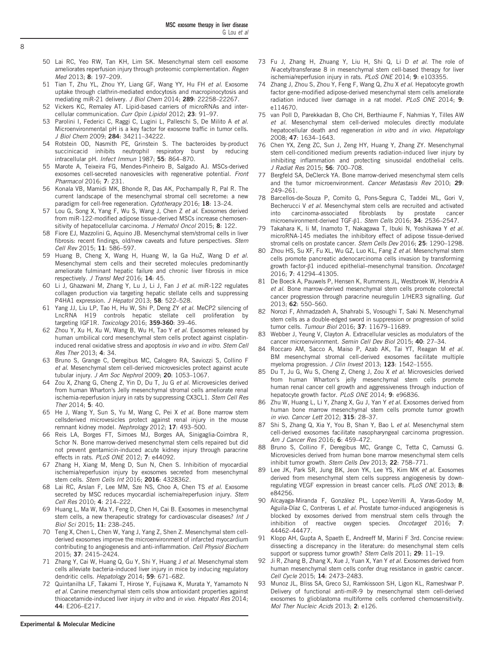- <span id="page-7-0"></span>50 Lai RC, Yeo RW, Tan KH, Lim SK. Mesenchymal stem cell exosome ameliorates reperfusion injury through proteomic complementation. Regen Med 2013; 8: 197–209.
- 51 Tian T, Zhu YL, Zhou YY, Liang GF, Wang YY, Hu FH et al. Exosome uptake through clathrin-mediated endocytosis and macropinocytosis and mediating miR-21 delivery. J Biol Chem 2014; 289: 22258–22267.
- 52 Vickers KC, Remaley AT. Lipid-based carriers of microRNAs and intercellular communication. Curr Opin Lipidol 2012; 23: 91–97.
- 53 Parolini I, Federici C, Raggi C, Lugini L, Palleschi S, De Milito A et al. Microenvironmental pH is a key factor for exosome traffic in tumor cells. J Biol Chem 2009; 284: 34211–34222.
- 54 Rotstein OD, Nasmith PE, Grinstein S. The bacteroides by-product succinicacid inhibits neutrophil respiratory burst by reducing intracellular pH. Infect Immun 1987; 55: 864–870.
- 55 Marote A, Teixeira FG, Mendes-Pinheiro B, Salgado AJ. MSCs-derived exosomes cell-secreted nanovesicles with regenerative potential. Front Pharmacol 2016; 7: 231.
- 56 Konala VB, Mamidi MK, Bhonde R, Das AK, Pochampally R, Pal R. The current landscape of the mesenchymal stromal cell secretome: a new paradigm for cell-free regeneration. Cytotherapy 2016; 18: 13-24.
- 57 Lou G, Song X, Yang F, Wu S, Wang J, Chen Z et al. Exosomes derived from miR-122-modified adipose tissue-derived MSCs increase chemosensitivity of hepatocellular carcinoma. J Hematol Oncol 2015; 8: 122.
- 58 Fiore EJ, Mazzolini G, Aquino JB. Mesenchymal stem/stromal cells in liver fibrosis: recent findings, old/new caveats and future perspectives. Stem Cell Rev 2015; 11: 586–597.
- 59 Huang B, Cheng X, Wang H, Huang W, la Ga HuZ, Wang D et al. Mesenchymal stem cells and their secreted molecules predominantly ameliorate fulminant hepatic failure and chronic liver fibrosis in mice respectively. J Transl Med 2016; 14: 45.
- 60 Li J, Ghazwani M, Zhang Y, Lu J, Li J, Fan J et al. miR-122 regulates collagen production via targeting hepatic stellate cells and suppressing P4HA1 expression. J Hepatol 2013; 58: 522-528.
- 61 Yang JJ, Liu LP, Tao H, Hu W, Shi P, Deng ZY et al. MeCP2 silencing of LncRNA H19 controls hepatic stellate cell proliferation by targeting IGF1R. Toxicology 2016; 359-360: 39-46.
- 62 Zhou Y, Xu H, Xu W, Wang B, Wu H, Tao Y et al. Exosomes released by human umbilical cord mesenchymal stem cells protect against cisplatininduced renal oxidative stress and apoptosis in vivo and in vitro. Stem Cell Res Ther 2013; 4: 34.
- 63 Bruno S, Grange C, Deregibus MC, Calogero RA, Saviozzi S, Collino F et al. Mesenchymal stem cell-derived microvesicles protect against acute tubular injury. J Am Soc Nephrol 2009; 20: 1053–1067.
- 64 Zou X, Zhang G, Cheng Z, Yin D, Du T, Ju G et al. Microvesicles derived from human Wharton's Jelly mesenchymal stromal cells ameliorate renal ischemia-reperfusion injury in rats by suppressing CX3CL1. Stem Cell Res Ther 2014; 5: 40.
- 65 He J, Wang Y, Sun S, Yu M, Wang C, Pei X et al. Bone marrow stem cellsderived microvesicles protect against renal injury in the mouse remnant kidney model. Nephrology 2012; 17: 493–500.
- 66 Reis LA, Borges FT, Simoes MJ, Borges AA, Sinigaglia-Coimbra R, Schor N. Bone marrow-derived mesenchymal stem cells repaired but did not prevent gentamicin-induced acute kidney injury through paracrine effects in rats. PLoS ONE 2012; 7: e44092.
- 67 Zhang H, Xiang M, Meng D, Sun N, Chen S. Inhibition of myocardial ischemia/reperfusion injury by exosomes secreted from mesenchymal stem cells. Stem Cells Int 2016; 2016: 4328362.
- 68 Lai RC, Arslan F, Lee MM, Sze NS, Choo A, Chen TS et al. Exosome secreted by MSC reduces myocardial ischemia/reperfusion injury. Stem Cell Res 2010; 4: 214–222.
- 69 Huang L, Ma W, Ma Y, Feng D, Chen H, Cai B. Exosomes in mesenchymal stem cells, a new therapeutic strategy for cardiovascular diseases? Int J Biol Sci 2015; 11: 238–245.
- 70 Teng X, Chen L, Chen W, Yang J, Yang Z, Shen Z. Mesenchymal stem cellderived exosomes improve the microenvironment of infarcted myocardium contributing to angiogenesis and anti-inflammation. Cell Physiol Biochem 2015; 37: 2415–2424.
- 71 Zhang Y, Cai W, Huang Q, Gu Y, Shi Y, Huang J et al. Mesenchymal stem cells alleviate bacteria-induced liver injury in mice by inducing regulatory dendritic cells. Hepatology 2014; 59: 671-682.
- 72 Quintanilha LF, Takami T, Hirose Y, Fujisawa K, Murata Y, Yamamoto N et al. Canine mesenchymal stem cells show antioxidant properties against thioacetamide-induced liver injury in vitro and in vivo. Hepatol Res 2014; 44: E206–E217.
- 73 Fu J, Zhang H, Zhuang Y, Liu H, Shi Q, Li D et al. The role of N-acetyltransferase 8 in mesenchymal stem cell-based therapy for liver ischemia/reperfusion injury in rats. PLoS ONE 2014; 9: e103355.
- 74 Zhang J, Zhou S, Zhou Y, Feng F, Wang Q, Zhu X et al. Hepatocyte growth factor gene-modified adipose-derived mesenchymal stem cells ameliorate radiation induced liver damage in a rat model. PLoS ONE 2014; 9: e114670.
- 75 van Poll D, Parekkadan B, Cho CH, Berthiaume F, Nahmias Y, Tilles AW et al. Mesenchymal stem cell-derived molecules directly modulate hepatocellular death and regeneration in vitro and in vivo. Hepatology 2008; 47: 1634–1643.
- 76 Chen YX, Zeng ZC, Sun J, Zeng HY, Huang Y, Zhang ZY. Mesenchymal stem cell-conditioned medium prevents radiation-induced liver injury by inhibiting inflammation and protecting sinusoidal endothelial cells. J Radiat Res 2015; 56: 700–708.
- 77 Bergfeld SA, DeClerck YA. Bone marrow-derived mesenchymal stem cells and the tumor microenvironment. Cancer Metastasis Rev 2010; 29: 249–261.
- 78 Barcellos-de-Souza P, Comito G, Pons-Segura C, Taddei ML, Gori V, Becherucci V et al. Mesenchymal stem cells are recruited and activated into carcinoma-associated fibroblasts by prostate cancer microenvironment-derived TGF-β1. Stem Cells 2016; 34: 2536–2547.
- 79 Takahara K, Ii M, Inamoto T, Nakagawa T, Ibuki N, Yoshikawa Y et al. microRNA-145 mediates the inhibitory effect of adipose tissue-derived stromal cells on prostate cancer. Stem Cells Dev 2016; 25: 1290-1298.
- Zhou HS, Su XF, Fu XL, Wu GZ, Luo KL, Fang Z et al. Mesenchymal stem cells promote pancreatic adenocarcinoma cells invasion by transforming growth factor-β1 induced epithelial–mesenchymal transition. Oncotarget 2016; 7: 41294–41305.
- 81 De Boeck A, Pauwels P, Hensen K, Rummens JL, Westbroek W, Hendrix A et al. Bone marrow-derived mesenchymal stem cells promote colorectal cancer progression through paracrine neuregulin 1/HER3 signalling. Gut 2013; 62: 550–560.
- 82 Norozi F, Ahmadzadeh A, Shahrabi S, Vosoughi T, Saki N. Mesenchymal stem cells as a double-edged sword in suppression or progression of solid tumor cells. Tumour Biol 2016; 37: 11679–11689.
- Webber J, Yeung V, Clayton A. Extracellular vesicles as modulators of the cancer microenvironment. Semin Cell Dev Biol 2015; 40: 27–34.
- 84 Roccaro AM, Sacco A, Maiso P, Azab AK, Tai YT, Reagan M et al. BM mesenchymal stromal cell-derived exosomes facilitate multiple myeloma progression. J Clin Invest 2013; 123: 1542–1555.
- 85 Du T, Ju G, Wu S, Cheng Z, Cheng J, Zou X et al. Microvesicles derived from human Wharton's jelly mesenchymal stem cells promote human renal cancer cell growth and aggressiveness through induction of hepatocyte growth factor. PLoS ONE 2014; 9: e96836.
- 86 Zhu W, Huang L, Li Y, Zhang X, Gu J, Yan Y et al. Exosomes derived from human bone marrow mesenchymal stem cells promote tumor growth in vivo. Cancer Lett 2012; 315: 28–37.
- 87 Shi S, Zhang Q, Xia Y, You B, Shan Y, Bao L et al. Mesenchymal stem cell-derived exosomes facilitate nasopharyngeal carcinoma progression. Am J Cancer Res 2016; 6: 459–472.
- 88 Bruno S, Collino F, Deregibus MC, Grange C, Tetta C, Camussi G. Microvesicles derived from human bone marrow mesenchymal stem cells inhibit tumor growth. Stem Cells Dev 2013; 22: 758-771.
- 89 Lee JK, Park SR, Jung BK, Jeon YK, Lee YS, Kim MK et al. Exosomes derived from mesenchymal stem cells suppress angiogenesis by downregulating VEGF expression in breast cancer cells. PLoS ONE 2013; 8: e84256.
- 90 Alcayaga-Miranda F, González PL, Lopez-Verrilli A, Varas-Godoy M, Aguila-Díaz C, Contreras L et al. Prostate tumor-induced angiogenesis is blocked by exosomes derived from menstrual stem cells through the inhibition of reactive oxygen species. Oncotarget 2016; 7: 44462–44477.
- 91 Klopp AH, Gupta A, Spaeth E, Andreeff M, Marini F 3rd. Concise review: dissecting a discrepancy in the literature: do mesenchymal stem cells support or suppress tumor growth? Stem Cells 2011; 29: 11-19.
- Ji R, Zhang B, Zhang X, Xue J, Yuan X, Yan Y et al. Exosomes derived from human mesenchymal stem cells confer drug resistance in gastric cancer. Cell Cycle 2015; 14: 2473–2483.
- 93 Munoz JL, Bliss SA, Greco SJ, Ramkissoon SH, Ligon KL, Rameshwar P. Delivery of functional anti-miR-9 by mesenchymal stem cell-derived exosomes to glioblastoma multiforme cells conferred chemosensitivity. Mol Ther Nucleic Acids 2013; 2: e126.